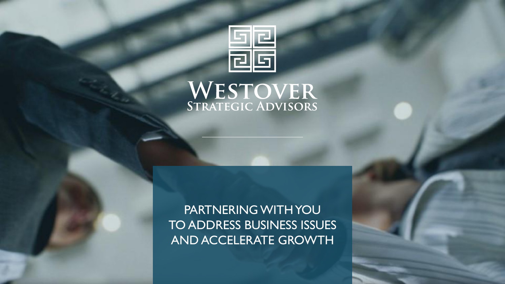

# WESTOVER<br>STRATEGIC ADVISORS

PARTNERING WITH YOU TO ADDRESS BUSINESS ISSUES AND ACCELERATE GROWTH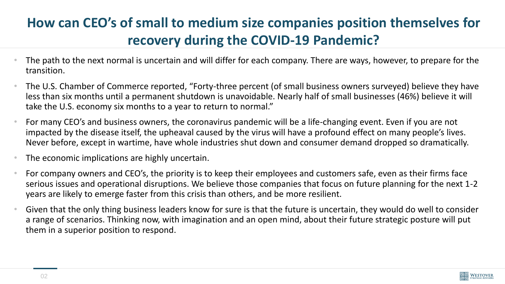## **How can CEO's of small to medium size companies position themselves for recovery during the COVID-19 Pandemic?**

- The path to the next normal is uncertain and will differ for each company. There are ways, however, to prepare for the transition.
- The U.S. Chamber of Commerce reported, "Forty-three percent (of small business owners surveyed) believe they have less than six months until a permanent shutdown is unavoidable. Nearly half of small businesses (46%) believe it will take the U.S. economy six months to a year to return to normal."
- For many CEO's and business owners, the coronavirus pandemic will be a life-changing event. Even if you are not impacted by the disease itself, the upheaval caused by the virus will have a profound effect on many people's lives. Never before, except in wartime, have whole industries shut down and consumer demand dropped so dramatically.
- The economic implications are highly uncertain.
- For company owners and CEO's, the priority is to keep their employees and customers safe, even as their firms face serious issues and operational disruptions. We believe those companies that focus on future planning for the next 1-2 years are likely to emerge faster from this crisis than others, and be more resilient.
- Given that the only thing business leaders know for sure is that the future is uncertain, they would do well to consider a range of scenarios. Thinking now, with imagination and an open mind, about their future strategic posture will put them in a superior position to respond.

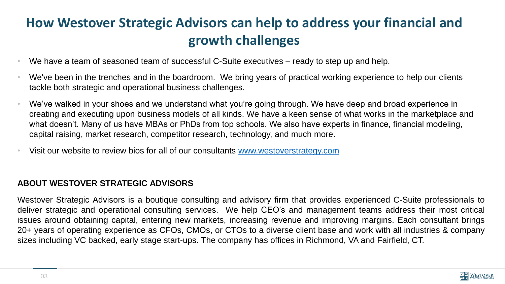## **How Westover Strategic Advisors can help to address your financial and growth challenges**

- We have a team of seasoned team of successful C-Suite executives ready to step up and help.
- We've been in the trenches and in the boardroom. We bring years of practical working experience to help our clients tackle both strategic and operational business challenges.
- We've walked in your shoes and we understand what you're going through. We have deep and broad experience in creating and executing upon business models of all kinds. We have a keen sense of what works in the marketplace and what doesn't. Many of us have MBAs or PhDs from top schools. We also have experts in finance, financial modeling, capital raising, market research, competitor research, technology, and much more.
- Visit our website to review bios for all of our consultants [www.westoverstrategy.com](http://www.westoverstrategy.com/)

#### **ABOUT WESTOVER STRATEGIC ADVISORS**

Westover Strategic Advisors is a boutique consulting and advisory firm that provides experienced C-Suite professionals to deliver strategic and operational consulting services. We help CEO's and management teams address their most critical issues around obtaining capital, entering new markets, increasing revenue and improving margins. Each consultant brings 20+ years of operating experience as CFOs, CMOs, or CTOs to a diverse client base and work with all industries & company sizes including VC backed, early stage start-ups. The company has offices in Richmond, VA and Fairfield, CT.